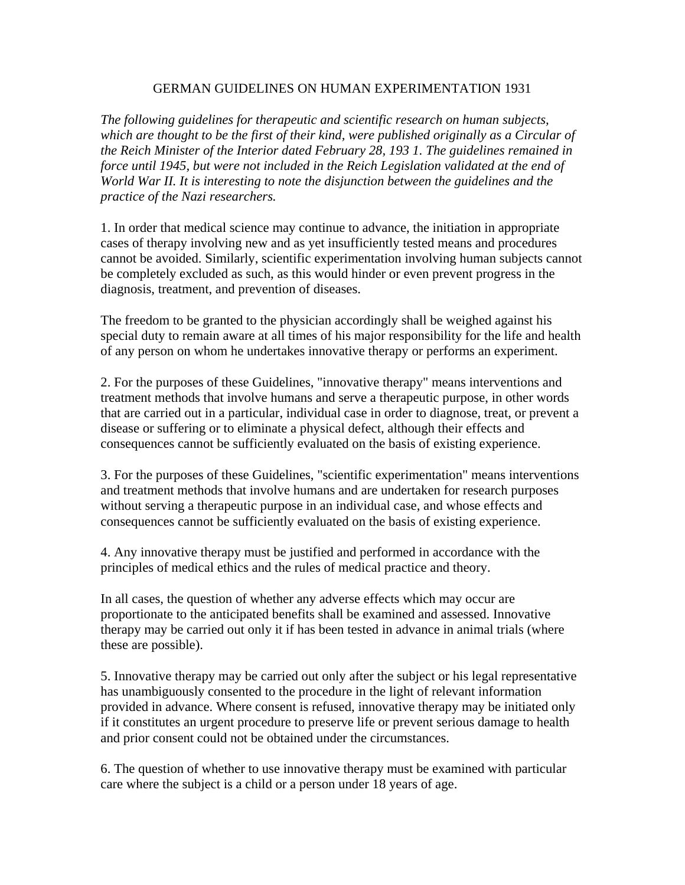## GERMAN GUIDELINES ON HUMAN EXPERIMENTATION 1931

*The following guidelines for therapeutic and scientific research on human subjects,*  which are thought to be the first of their kind, were published originally as a Circular of *the Reich Minister of the Interior dated February 28, 193 1. The guidelines remained in force until 1945, but were not included in the Reich Legislation validated at the end of World War II. It is interesting to note the disjunction between the guidelines and the practice of the Nazi researchers.*

1. In order that medical science may continue to advance, the initiation in appropriate cases of therapy involving new and as yet insufficiently tested means and procedures cannot be avoided. Similarly, scientific experimentation involving human subjects cannot be completely excluded as such, as this would hinder or even prevent progress in the diagnosis, treatment, and prevention of diseases.

The freedom to be granted to the physician accordingly shall be weighed against his special duty to remain aware at all times of his major responsibility for the life and health of any person on whom he undertakes innovative therapy or performs an experiment.

2. For the purposes of these Guidelines, "innovative therapy" means interventions and treatment methods that involve humans and serve a therapeutic purpose, in other words that are carried out in a particular, individual case in order to diagnose, treat, or prevent a disease or suffering or to eliminate a physical defect, although their effects and consequences cannot be sufficiently evaluated on the basis of existing experience.

3. For the purposes of these Guidelines, "scientific experimentation" means interventions and treatment methods that involve humans and are undertaken for research purposes without serving a therapeutic purpose in an individual case, and whose effects and consequences cannot be sufficiently evaluated on the basis of existing experience.

4. Any innovative therapy must be justified and performed in accordance with the principles of medical ethics and the rules of medical practice and theory.

In all cases, the question of whether any adverse effects which may occur are proportionate to the anticipated benefits shall be examined and assessed. Innovative therapy may be carried out only it if has been tested in advance in animal trials (where these are possible).

5. Innovative therapy may be carried out only after the subject or his legal representative has unambiguously consented to the procedure in the light of relevant information provided in advance. Where consent is refused, innovative therapy may be initiated only if it constitutes an urgent procedure to preserve life or prevent serious damage to health and prior consent could not be obtained under the circumstances.

6. The question of whether to use innovative therapy must be examined with particular care where the subject is a child or a person under 18 years of age.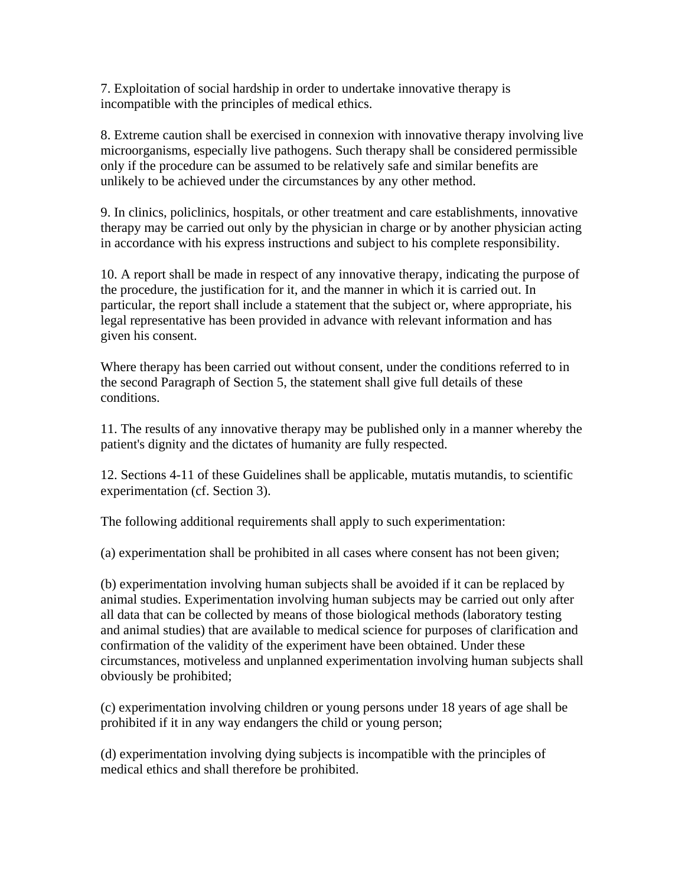7. Exploitation of social hardship in order to undertake innovative therapy is incompatible with the principles of medical ethics.

8. Extreme caution shall be exercised in connexion with innovative therapy involving live microorganisms, especially live pathogens. Such therapy shall be considered permissible only if the procedure can be assumed to be relatively safe and similar benefits are unlikely to be achieved under the circumstances by any other method.

9. In clinics, policlinics, hospitals, or other treatment and care establishments, innovative therapy may be carried out only by the physician in charge or by another physician acting in accordance with his express instructions and subject to his complete responsibility.

10. A report shall be made in respect of any innovative therapy, indicating the purpose of the procedure, the justification for it, and the manner in which it is carried out. In particular, the report shall include a statement that the subject or, where appropriate, his legal representative has been provided in advance with relevant information and has given his consent.

Where therapy has been carried out without consent, under the conditions referred to in the second Paragraph of Section 5, the statement shall give full details of these conditions.

11. The results of any innovative therapy may be published only in a manner whereby the patient's dignity and the dictates of humanity are fully respected.

12. Sections 4-11 of these Guidelines shall be applicable, mutatis mutandis, to scientific experimentation (cf. Section 3).

The following additional requirements shall apply to such experimentation:

(a) experimentation shall be prohibited in all cases where consent has not been given;

(b) experimentation involving human subjects shall be avoided if it can be replaced by animal studies. Experimentation involving human subjects may be carried out only after all data that can be collected by means of those biological methods (laboratory testing and animal studies) that are available to medical science for purposes of clarification and confirmation of the validity of the experiment have been obtained. Under these circumstances, motiveless and unplanned experimentation involving human subjects shall obviously be prohibited;

(c) experimentation involving children or young persons under 18 years of age shall be prohibited if it in any way endangers the child or young person;

(d) experimentation involving dying subjects is incompatible with the principles of medical ethics and shall therefore be prohibited.